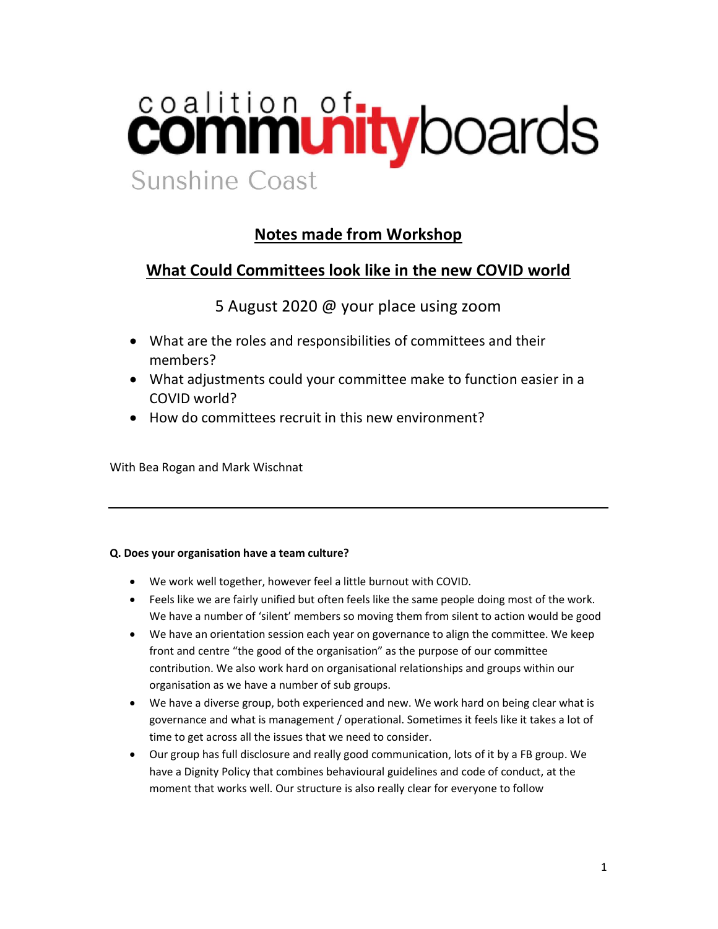# coalition of the boards Sunshine Coast

# Notes made from Workshop

## What Could Committees look like in the new COVID world

5 August 2020 @ your place using zoom

- What are the roles and responsibilities of committees and their members?
- What adjustments could your committee make to function easier in a COVID world?
- How do committees recruit in this new environment?

With Bea Rogan and Mark Wischnat

### Q. Does your organisation have a team culture?

- We work well together, however feel a little burnout with COVID.
- Feels like we are fairly unified but often feels like the same people doing most of the work. We have a number of 'silent' members so moving them from silent to action would be good
- We have an orientation session each year on governance to align the committee. We keep front and centre "the good of the organisation" as the purpose of our committee contribution. We also work hard on organisational relationships and groups within our organisation as we have a number of sub groups.
- We have a diverse group, both experienced and new. We work hard on being clear what is governance and what is management / operational. Sometimes it feels like it takes a lot of time to get across all the issues that we need to consider.
- Our group has full disclosure and really good communication, lots of it by a FB group. We have a Dignity Policy that combines behavioural guidelines and code of conduct, at the moment that works well. Our structure is also really clear for everyone to follow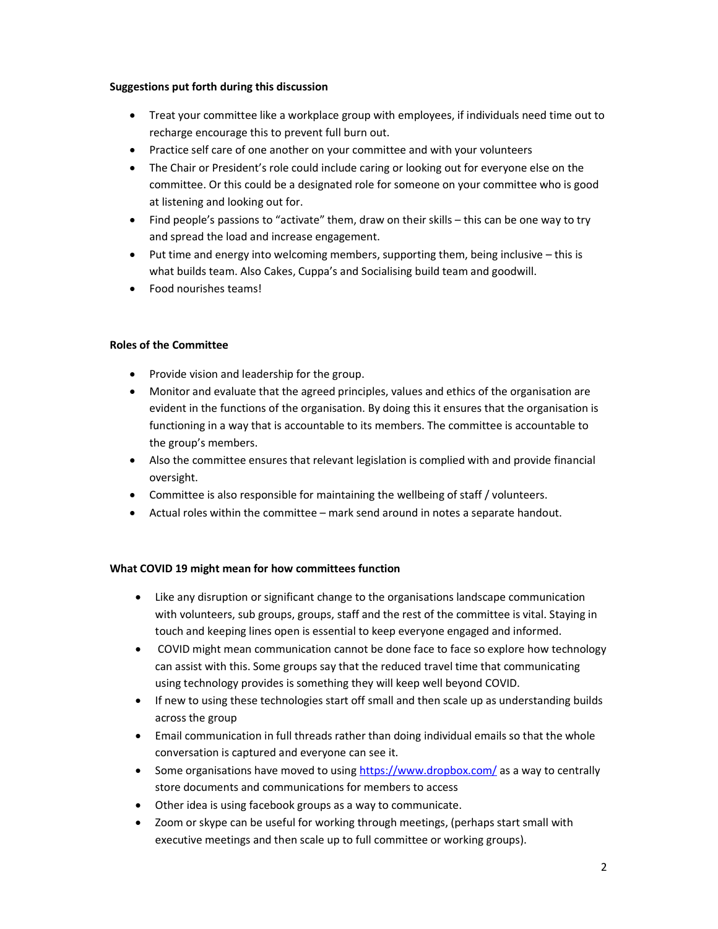#### Suggestions put forth during this discussion

- Treat your committee like a workplace group with employees, if individuals need time out to recharge encourage this to prevent full burn out.
- Practice self care of one another on your committee and with your volunteers
- The Chair or President's role could include caring or looking out for everyone else on the committee. Or this could be a designated role for someone on your committee who is good at listening and looking out for.
- Find people's passions to "activate" them, draw on their skills this can be one way to try and spread the load and increase engagement.
- $\bullet$  Put time and energy into welcoming members, supporting them, being inclusive this is what builds team. Also Cakes, Cuppa's and Socialising build team and goodwill.
- Food nourishes teams!

#### Roles of the Committee

- Provide vision and leadership for the group.
- Monitor and evaluate that the agreed principles, values and ethics of the organisation are evident in the functions of the organisation. By doing this it ensures that the organisation is functioning in a way that is accountable to its members. The committee is accountable to the group's members.
- Also the committee ensures that relevant legislation is complied with and provide financial oversight.
- Committee is also responsible for maintaining the wellbeing of staff / volunteers.
- Actual roles within the committee mark send around in notes a separate handout.

#### What COVID 19 might mean for how committees function

- Like any disruption or significant change to the organisations landscape communication with volunteers, sub groups, groups, staff and the rest of the committee is vital. Staying in touch and keeping lines open is essential to keep everyone engaged and informed.
- COVID might mean communication cannot be done face to face so explore how technology can assist with this. Some groups say that the reduced travel time that communicating using technology provides is something they will keep well beyond COVID.
- If new to using these technologies start off small and then scale up as understanding builds across the group
- Email communication in full threads rather than doing individual emails so that the whole conversation is captured and everyone can see it.
- Some organisations have moved to using https://www.dropbox.com/ as a way to centrally store documents and communications for members to access
- Other idea is using facebook groups as a way to communicate.
- Zoom or skype can be useful for working through meetings, (perhaps start small with executive meetings and then scale up to full committee or working groups).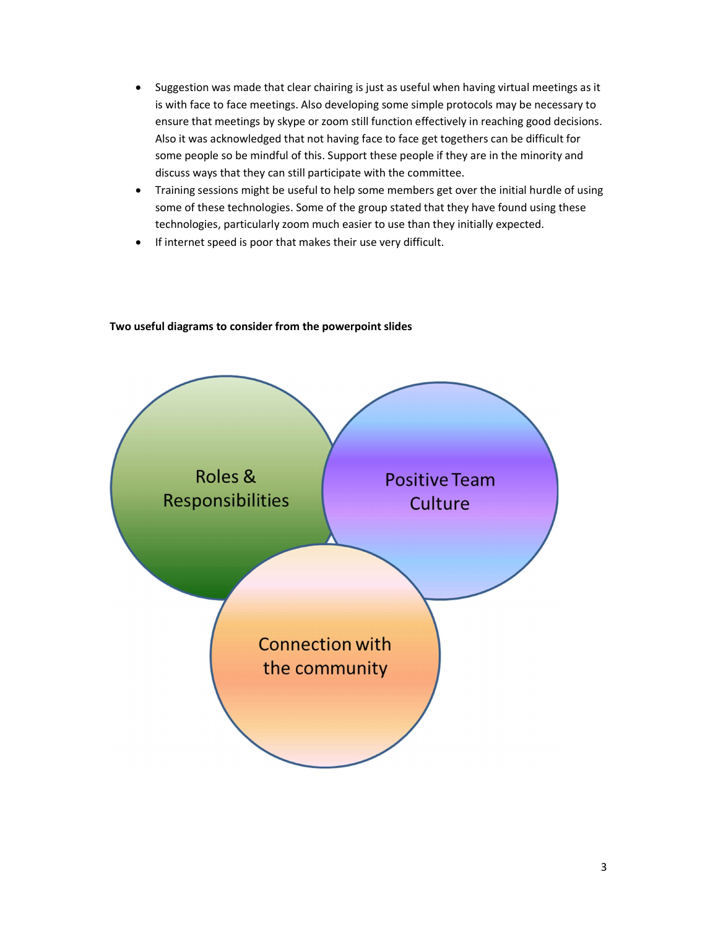- Suggestion was made that clear chairing is just as useful when having virtual meetings as it is with face to face meetings. Also developing some simple protocols may be necessary to ensure that meetings by skype or zoom still function effectively in reaching good decisions. Also it was acknowledged that not having face to face get togethers can be difficult for some people so be mindful of this. Support these people if they are in the minority and discuss ways that they can still participate with the committee.
- Training sessions might be useful to help some members get over the initial hurdle of using some of these technologies. Some of the group stated that they have found using these technologies, particularly zoom much easier to use than they initially expected.
- If internet speed is poor that makes their use very difficult.



#### Two useful diagrams to consider from the powerpoint slides